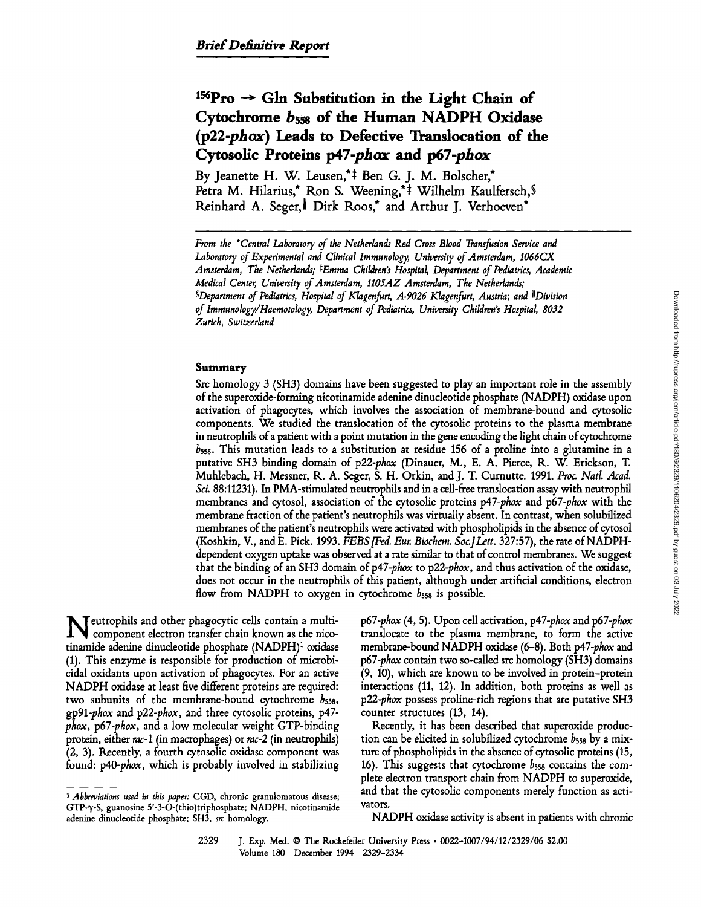# <sup>156</sup>Pro  $\rightarrow$  Gln Substitution in the Light Chain of **Cytochrome bsss of the Human NADPH Oxidase (p22-phox) Leads to Defective Translocation of the Cytosofic Proteins** *p47-phox* **and p67-phox**

By Jeanette H. W. Leusen,<sup>\*‡</sup> Ben G. J. M. Bolscher,\* Petra M. Hilarius,\* Ron S. Weening,\*<sup>†</sup> Wilhelm Kaulfersch,§ Reinhard A. Seger, Dirk Roos,\* and Arthur J. Verhoeven\*

## **Summary**

Src homology 3 (SH3) domains have been suggested to play an important role in the assembly of the superoxide-forming nicotinamide adenine dinudeotide phosphate (NADPH) oxidase upon activation of phagocytes, which involves the association of membrane-bound and cytosolic components. We studied the translocation of the cytosolic proteins to the plasma membrane in neutrophils of a patient with a point mutation in the gene encoding the light chain of cytochrome  $b_{558}$ . This mutation leads to a substitution at residue 156 of a proline into a glutamine in a putative SH3 binding domain of *p22-phox* (Dinauer, M., E. A. Pierce, K. W. Erickson, T. Muhlebach, H. Messner, K. A. Seger, S. H. Orkin, and J. T. Curnutte. 1991. *Proc. Natl. Acad.*  Sci. 88:11231). In PMA-stimulated neutrophils and in a cell-free translocation assay with neutrophil membranes and cytosol, association of the cytosolic proteins *p47-phox* and *p67-phox* with the membrane fraction of the patient's neutrophils was virtually absent. In contrast, when solubilized membranes of the patient's neutrophils were activated with phospholipids in the absence of cytosol (Koshkin, V., and E. Pick. 1993. *FEBS[Fed. Eur. Biochem. Soa]Lett.* 327:57), the rate of NADPHdependent oxygen uptake was observed at a rate similar to that of control membranes. We suggest that the binding of an SH3 domain of *p47-phox* to *p22-phox,* and thus activation of the oxidase, does not occur in the neutrophils of this patient, although under artificial conditions, electron flow from NADPH to oxygen in cytochrome  $b_{558}$  is possible.

**N** eutrophils and other phagocytic cells contain a multi-<br>component electron transfer chain known as the nicotinamide adenine dinucleotide phosphate (NADPH)<sup>1</sup> oxidase (1). This enzyme is responsible for production of microbicidal oxidants upon activation of phagocytes. For an active NADPH oxidase at least five different proteins are required: two subunits of the membrane-bound cytochrome  $b_{558}$ , *gp91-phox* and *p22-phox,* and three cytosolic proteins, p47 *phox, p67-phox, and a low molecular weight GTP-binding* protein, either rac-1 (in macrophages) or *rac-2* (in neutrophils) (2, 3). Recently, a fourth cytosolic oxidase component was found: *p40-phox,* which is probably involved in stabilizing *p67-phox* (4, 5). Upon cell activation, *p47-phox* and *p67-phox*  translocate to the plasma membrane, to form the active membrane-bound NADPH oxidase (6-8). Both *p47-phox* and *p67-phox* contain two so-called src homology (SH3) domains (9, 10), which are known to be involved in protein-protein interactions (11, 12). In addition, both proteins as well as *p22-phox* possess proline-rich regions that are putative SH3 counter structures (13, 14).

Recently, it has been described that superoxide production can be elicited in solubilized cytochrome  $b_{558}$  by a mixture of phospholipids in the absence of cytosolic proteins (15, 16). This suggests that cytochrome  $b_{558}$  contains the complete electron transport chain from NADPH to superoxide, and that the cytosolic components merely function as activators.

NADPH oxidase activity is absent in patients with chronic

*From the \*Central Laboratory of the Netherlands Red Cross Blood Transfusion Service and Laboratory of Experimental and Clinical Immunology, University of Amsterdam, I066CX*  Amsterdam, The Netherlands; <sup>‡</sup>Emma Children's Hospital, Department of Pediatrics, Academic *Medical Center, University of Amsterdam, II05AZ Amsterdam, The Netherlands; SDepartment of Pediatrics, Hospital of Klagenfurt, A-9026 Klagenfurt, Austria; and IIDivision of Immunology/Haemotology, Department of Pediatrics, University Children's Hospital, 8032 Zurich, Switzerland* 

*<sup>1</sup> Abbreviations used in this paper:* CGD, chronic granulomatous disease; GTP-q/-S, guanosine 5'-3-O-(thio)triphosphate; NADPH, nicotinamide adenine dinucleotide phosphate; SH3, *src* homology.

<sup>2329</sup> J. Exp. Med. 9 The Rockefeller University Press 9 *0022-1007/94/12/2329/06* \$2.00 Volume 180 December 1994 2329-2334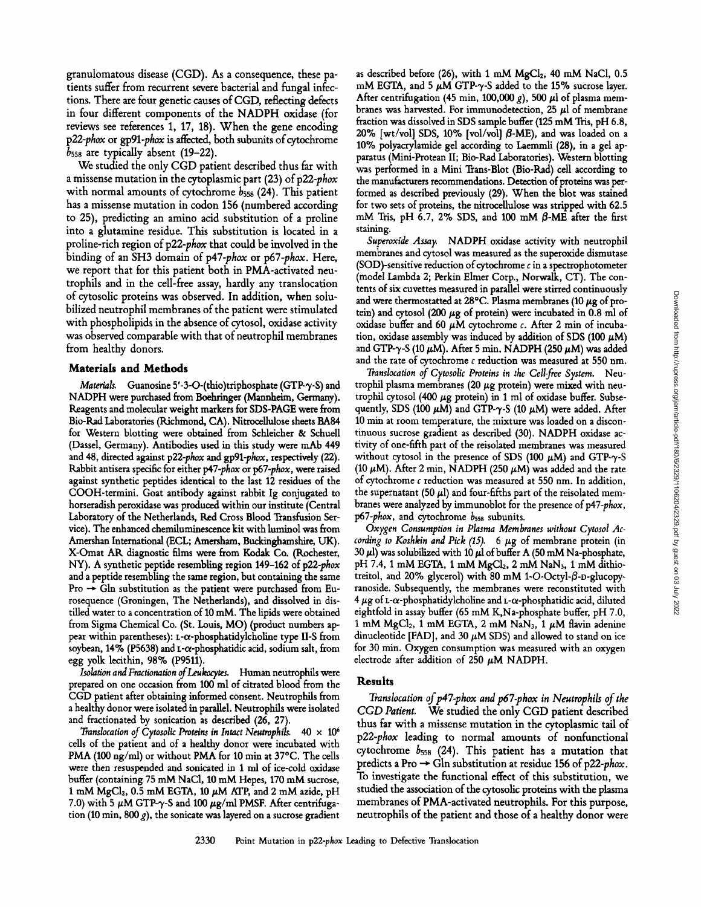granulomatous disease (CGD). As a consequence, these patients suffer from recurrent severe bacterial and fungal infections. There are four genetic causes of CGD, reflecting defects in four different components of the NADPH oxidase (for reviews see references 1, 17, 18). When the gene encoding  $p22$ -phox or gp91-phox is affected, both subunits of cytochrome  $b_{558}$  are typically absent (19-22).

We studied the only CGD patient described thus far with a missense mutation in the cytoplasmic part (23) of *p22-phox*  with normal amounts of cytochrome  $b_{558}$  (24). This patient has a missense mutation in codon 156 (numbered according to 25), predicting an amino acid substitution of a proline into a glutamine residue. This substitution is located in a proline-rich region of *p22-phox* that could be involved in the binding of an SH3 domain of *p47-phox* or *p67-phox.* Here, we report that for this patient both in PMA-activated neutrophils and in the cell-free assay, hardly any translocation of cytosolic proteins was observed. In addition, when solubilized neutrophil membranes of the patient were stimulated with phospholipids in the absence of cytosol, oxidase activity was observed comparable with that of neutrophil membranes from healthy donors.

### Materials and Methods

*Materials.* Guanosine 5'-3-O-(thio)triphosphate (GTP-γ-S) and NADPH were purchased from Boehringer (Mannheim, Germany). Reagents and molecular weight markers for SDS-PAGE were from Bio-Rad Laboratories (Richmond, CA). Nitrocellulose sheets BA84 for Western blotting were obtained from Schleicher & Schuell (Dassd, Germany). Antibodies used in this study were mAb 449 and 48, directed against *p22-phox and gp91-phox,* respectively (22). Rabbit antisera specific for either *p47-phox* or *p67-phox, were* raised against synthetic peptides identical to the hst 12 residues of the COOH-termini. Goat antibody against rabbit Ig conjugated to horseradish peroxidase was produced within our institute (Central Laboratory of the Netherlands, Red Cross Blood Transfusion Service). The enhanced chemiluminescence kit with luminol was from Amershan International (ECL; Amersham, Buckinghamshire, UK). X-Omat AK diagnostic films were from Kodak Co. (Rochester, NY). A synthetic peptide resembling region 149-162 of *p22-phox*  and a peptide resembling the same region, but containing the same Pro  $\rightarrow$  Gln substitution as the patient were purchased from Eurosequence (Groningen, The Netherlands), and dissolved in distilled water to a concentration of 10 mM. The lipids were obtained from Sigma Chemical Co. (St. Louis, MO) (product numbers appear within parentheses):  $L-\alpha$ -phosphatidylcholine type II-S from soybean,  $14\%$  (P5638) and L- $\alpha$ -phosphatidic acid, sodium salt, from egg yolk lecithin, 98% (P9511).

*Isolation and Fractionation of Leukocytes.* Human neutrophils were prepared on one occasion from 100 ml of citrated blood from the CGD patient after obtaining informed consent. Neutrophils from a healthy donor were isolated in parallel. Neutrophils were isolated and fractionated by sonication as described (26, 27).

*Translocation of Cytosolic Proteins in Intact Neutrophils.*  $40 \times 10^6$ cells of the patient and of a healthy donor were incubated with PMA (100 ng/ml) or without PMA for 10 min at 37°C. The cells were then resuspended and sonicated in 1 ml of ice-cold oxidase buffer (containing 75 mM NaC1, 10 mM Hepes, 170 mM sucrose, 1 mM MgCl<sub>2</sub>, 0.5 mM EGTA, 10  $\mu$ M ATP, and 2 mM azide, pH 7.0) with 5  $\mu$ M GTP- $\gamma$ -S and 100  $\mu$ g/ml PMSF. After centrifugation (10 min, 800  $g$ ), the sonicate was layered on a sucrose gradient as described before (26), with 1 mM  $MgCl<sub>2</sub>$ , 40 mM NaCl, 0.5 mM EGTA, and 5  $\mu$ M GTP- $\gamma$ -S added to the 15% sucrose layer. After centrifugation (45 min, 100,000 g), 500  $\mu$ l of plasma membranes was harvested. For immunodetection, 25  $\mu$ l of membrane fraction was dissolved in SDS sample buffer (125 mM Tris, pH 6.8, 20% [wt/vol] SDS, 10% [vol/vol]  $\beta$ -ME), and was loaded on a 10% polyacrylamide gel according to Laemmli (28), in a gel apparatus (Mini-Protean II; Bio-Rad Laboratories). Western blotting was performed in a Mini Tram-Blot (Bio-Rad) cell according to the manufacturers recommendations. Detection of proteins was performed as described previously (29). When the blot was stained for two sets of proteins, the nitrocellulose was stripped with 62.5 mM Tris, pH 6.7, 2% SDS, and 100 mM  $\beta$ -ME after the first staining.

Superoxide Assay. NADPH oxidase activity with neutrophil membranes and cytosol was measured as the superoxide dismutase (SOD)-sensitive reduction of cytochrome  $c$  in a spectrophotometer (model Lambda 2; Perkin Elmer Corp., Norwalk, CT). The contents of six cuvettes measured in parallel were stirred continuously and were thermostatted at 28°C. Plasma membranes (10  $\mu$ g of protein) and cytosol (200  $\mu$ g of protein) were incubated in 0.8 ml of oxidase buffer and 60  $\mu$ M cytochrome c. After 2 min of incubation, oxidase assembly was induced by addition of SDS (100  $\mu$ M) and GTP- $\gamma$ -S (10  $\mu$ M). After 5 min, NADPH (250  $\mu$ M) was added and the rate of cytochrome  $c$  reduction was measured at 550 nm.

*Translocation of Cytosolic Proteins in the Cell-free System.* Neutrophil plasma membranes (20  $\mu$ g protein) were mixed with neutrophil cytosol (400  $\mu$ g protein) in 1 ml of oxidase buffer. Subsequently, SDS (100  $\mu$ M) and GTP- $\gamma$ -S (10  $\mu$ M) were added. After 10 min at room temperature, the mixture was loaded on a discontinuous sucrose gradient as described (30). NADPH oxidase activity of one-fifth part of the reisolated membranes was measured without cytosol in the presence of SDS (100  $\mu$ M) and GTP- $\gamma$ -S (10  $\mu$ M). After 2 min, NADPH (250  $\mu$ M) was added and the rate of cytochrome  $c$  reduction was measured at 550 nm. In addition, the supernatant (50  $\mu$ l) and four-fifths part of the reisolated membranes were analyzed by immunoblot for the presence of *p47-phox, p67-phox,* and cytochrome bsss subunits.

*Oxygen Consumption in Plasma Membranes without Cytosol Ac. cording to Koshkin and Pick (15).* 6  $\mu$ g of membrane protein (in 30  $\mu$ l) was solubilized with 10  $\mu$ l of buffer A (50 mM Na-phosphate, pH 7.4, 1 mM EGTA, 1 mM  $MgCl<sub>2</sub>$ , 2 mM NaN<sub>3</sub>, 1 mM dithiotreitol, and 20% glycerol) with 80 mM 1-O-Octyl- $\beta$ -D-glucopyranoside. Subsequently, the membranes were reconstituted with  $4 \mu$ g of t- $\alpha$ -phosphatidylcholine and t- $\alpha$ -phosphatidic acid, diluted eightfold in assay buffer (65 mM K,Na-phosphate buffer, pH 7.0, 1 mM MgCl<sub>2</sub>, 1 mM EGTA, 2 mM NaN<sub>3</sub>, 1  $\mu$ M flavin adenine dinucleotide [FAD], and 30  $\mu$ M SDS) and allowed to stand on ice for 30 min. Oxygen consumption was measured with an oxygen electrode after addition of 250  $\mu$ M NADPH.

### Results

Translocation of p47-phox and p67-phox in Neutrophils of the *CGD Patient.* We studied the only CGD patient described thus far with a missense mutation in the cytoplasmic tail of *p22-phox* leading to normal amounts of nonfunctional cytochrome  $b_{558}$  (24). This patient has a mutation that predicts a Pro ~ Gin substitution at residue 156 of *p22=phox.*  To investigate the functional effect of this substitution, we studied the association of the cytosolic proteins with the plasma membranes of PMA-activated neutrophils. For this purpose, neutrophils of the patient and those of a healthy donor were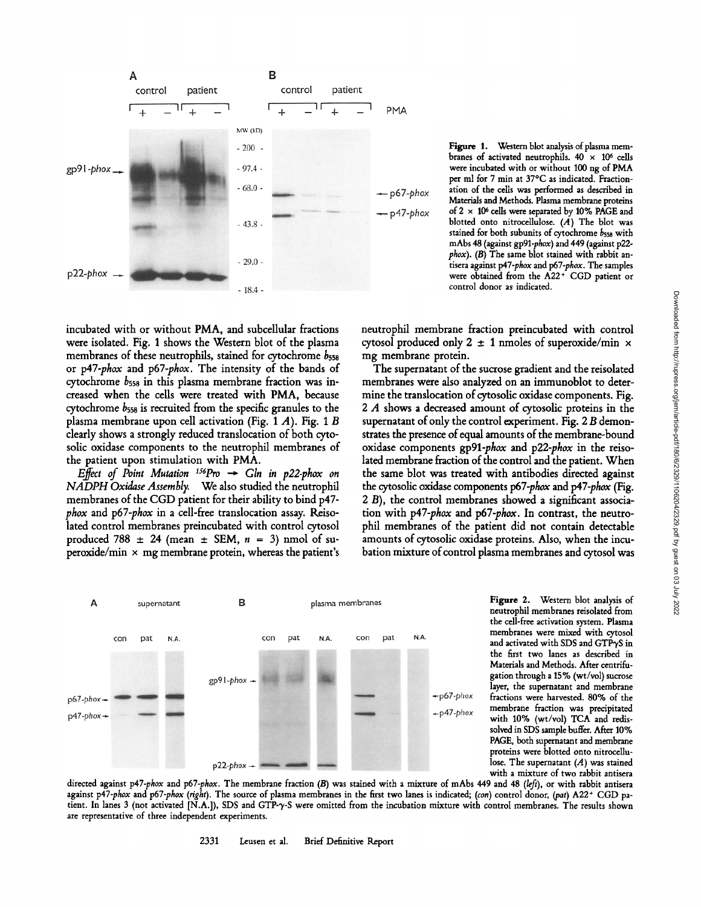

Figure 1. Western blot analysis of plasma membranes of activated neutrophils.  $40 \times 10^6$  cells were incubated with or without 100 ng of PMA per ml for 7 min at 37°C as indicated. Fractionation of the cells was performed as described in Materials and Methods. Plasma membrane proteins of  $2 \times 10^6$  cells were separated by 10% PAGE and blotted onto nitrocellulose.  $(A)$  The blot was stained for both subunits of cytochrome  $b_{558}$  with mAbs 48 (against *gp91-phox)* and 449 (against p22 *phox). (13)* The same blot stained with rabbit antisera against *p47-phox and p67-phox.* The samples were obtained from the A22+ CGD patient or control donor as indicated.

incubated with or without PMA, and subcellular fractions were isolated. Fig. 1 shows the Western blot of the plasma membranes of these neutrophils, stained for cytochrome  $b_{558}$ or *p47-phox* and *p67-phox.* The intensity of the bands of cytochrome bsss in this plasma membrane fraction was increased when the cells were treated with PMA, because cytochrome bsss is recruited from the specific granules to the plasma membrane upon cell activation (Fig. 1 A). Fig. 1 B clearly shows a strongly reduced translocation of both cytosolic oxidase components to the neutrophil membranes of the patient upon stimulation with PMA.

*Effect of Point Mutation*  $^{156}Pro \rightarrow Gln$  in p22-phox on *NADPH Oxidase Assembly.* We also studied the neutrophil membranes of the CGD patient for their ability to bind p47 *phox* and *p67-phox* in a cell-free translocation assay. Reisolated control membranes preincubated with control cytosol produced 788  $\pm$  24 (mean  $\pm$  SEM,  $n = 3$ ) nmol of superoxide/min  $\times$  mg membrane protein, whereas the patient's



The supernatant of the sucrose gradient and the reisolated membranes were also analyzed on an immunoblot to determine the translocation of cytosolic oxidase components. Fig. 2 A shows a decreased amount of cytosolic proteins in the supernatant of only the control experiment. Fig. 2 B demonstrates the presence of equal amounts of the membrane-bound oxidase components *gp91-phox* and *p22-phox* in the reisolated membrane fraction of the control and the patient. When the same blot was treated with antibodies directed against the cytosolic oxidase components *p67-phax and p47-phox* (Fig. 2 B), the control membranes showed a significant association with *p47-phox* and *p67-phox.* In contrast, the neutrophil membranes of the patient did not contain detectable amounts of cytosolic oxidase proteins. Also, when the incubation mixture of control plasma membranes and cytosol was



Figure 2. Western blot analysis of neutrophil membranes reisolated from the cell-free activation system. Plasma membranes were mixed with cytosol and activated with SDS and GTP $\gamma$ S in the first two lanes as described in Materials and Methods. After centrifugation through a 15% (wt/vol) sucrose layer, the supernatant and membrane fractions were harvested. 80% of the membrane fraction was precipitated with 10% (wt/vol) TCA and redissolved in SDS sample buffer. After 10% PAGE, both supernatant and membrane proteins were blotted onto nitrocellulose. The supernatant  $(A)$  was stained with a mixture of two rabbit antisera

directed against p47-phox and p67-phox. The membrane fraction (B) was stained with a mixture of mAbs 449 and 48 (left), or with rabbit antisera against *p47-phox* and *p67-phox (right)*. The source of plasma membranes in the first two lanes is indicated; *(con)* control donor, *(pat)* A22<sup>+</sup> CGD patient. In lanes 3 (not activated [N.A.]), SDS and GTP- $\gamma$ -S were omitted from the incubation mixture with control membranes. The results shown are representative of three independent experiments.

2331 Leusen et al. Brief Definitive Report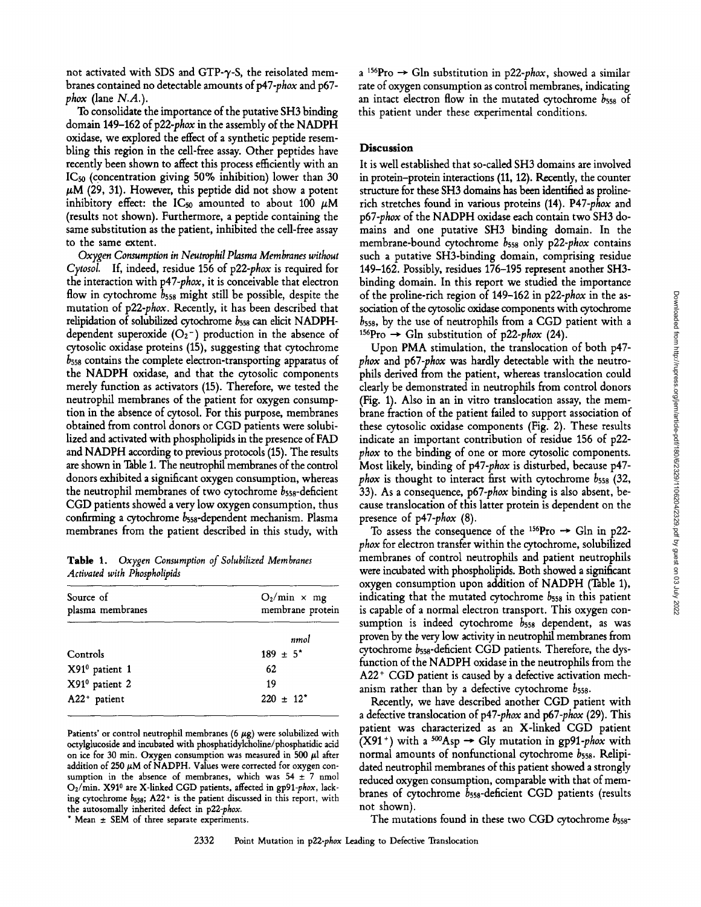not activated with SDS and GTP-y-S, the reisolated membranes contained no detectable amounts of p47-phox and p67*phox* (lane *N.A.).* 

To consolidate the importance of the putative SH3 binding domain 149-162 of p22-phox in the assembly of the NADPH oxidase, we explored the effect of a synthetic peptide resembling this region in the cell-free assay. Other peptides have recently been shown to affect this process efficiently with an ICs0 (concentration giving 50% inhibition) lower than 30  $\mu$ M (29, 31). However, this peptide did not show a potent inhibitory effect: the IC<sub>50</sub> amounted to about 100  $\mu$ M (results not shown). Furthermore, a peptide containing the same substitution as the patient, inhibited the cell-free assay to the same extent.

*Oxygen Consumption in Neutrophil Plasma Membranes without Cytosol.* If, indeed, residue 156 of *p22-phox* is required for the interaction with *p47-phox,* it is conceivable that electron flow in cytochrome  $b_{558}$  might still be possible, despite the mutation of *1022-phox.* Recently, it has been described that relipidation of solubilized cytochrome bsss can elicit NADPHdependent superoxide  $(O_2^-)$  production in the absence of cytosolic oxidase proteins (15), suggesting that cytochrome  $b_{558}$  contains the complete electron-transporting apparatus of the NADPH oxidase, and that the cytosolic components merely function as activators (15). Therefore, we tested the neutrophil membranes of the patient for oxygen consumption in the absence of cytosol. For this purpose, membranes obtained from control donors or CGD patients were solubilized and activated with phospholipids in the presence of FAD and NADPH according to previous protocols (15). The results are shown in Table 1. The neutrophil membranes of the control donors exhibited a significant oxygen consumption, whereas the neutrophil membranes of two cytochrome  $b_{558}$ -deficient CGD patients showed a very low oxygen consumption, thus confirming a cytochrome bsss-dependent mechanism. Plasma membranes from the patient described in this study, with

Table 1. *Oxygen Consumption of Solubilized Membranes Activated with Phospholipids* 

| Source of<br>plasma membranes | $O_2/min \times mg$<br>membrane protein |
|-------------------------------|-----------------------------------------|
|                               | nmol                                    |
| Controls                      | $189 \pm 5^*$                           |
| X91 <sup>0</sup> patient 1    | 62                                      |
| X91 <sup>0</sup> patient 2    | 19                                      |
| A22+ patient                  | $220 \pm 12^*$                          |

Patients' or control neutrophil membranes (6  $\mu$ g) were solubilized with octylglucoside and incubated with phosphatidylcholine/phosphatidic acid on ice for 30 min. Oxygen consumption was measured in 500  $\mu$ l after addition of 250  $\mu$ M of NADPH. Values were corrected for oxygen consumption in the absence of membranes, which was  $54 \pm 7$  nmol O<sub>2</sub>/min. X91<sup>0</sup> are X-linked CGD patients, affected in gp91-phox, lacking cytochrome bsss; A22+ is the patient discussed in this report, with the autosomally inherited defect in *p22-phox.* 

\* Mean  $\pm$  SEM of three separate experiments.

a <sup>156</sup>Pro  $\rightarrow$  Gln substitution in p22-*phox*, showed a similar rate of oxygen consumption as control membranes, indicating an intact electron flow in the mutated cytochrome  $b_{558}$  of this patient under these experimental conditions.

### **Discussion**

It is well established that so-called SH3 domains are involved in protein-protein interactions (11, 12). Recently, the counter structure for these SH3 domains has been identified as prolinerich stretches found in various proteins (14). *P47-phox* and *p67-phox* of the NADPH oxidase each contain two SH3 domains and one putative SH3 binding domain. In the membrane-bound cytochrome bsss only *p22-phox* contains such a putative SH3-binding domain, comprising residue 149-162. Possibly, residues 176-195 represent another SH3 binding domain. In this report we studied the importance of the proline-rich region of 149-162 in *p22-phox* in the association of the cytosolic oxidase components with cytochrome  $b_{558}$ , by the use of neutrophils from a CGD patient with a <sup>156</sup>Pro  $\rightarrow$  Gln substitution of *p22-phox* (24).

Upon PMA stimulation, the translocation of both p47 *phox* and *1067-phox* was hardly detectable with the neutrophils derived from the patient, whereas translocation could clearly be demonstrated in neutrophils from control donors (Fig. 1). Also in an in vitro translocation assay, the membrane fraction of the patient failed to support association of these cytosolic oxidase components (Fig. 2). These results indicate an important contribution of residue 156 of p22 *phox* to the binding of one or more cytosolic components. Most likely, binding of p47-phox is disturbed, because p47*phox* is thought to interact first with cytochrome  $b_{558}$  (32, 33). As a consequence, *p67-phox* binding is also absent, because translocation of this latter protein is dependent on the presence of *1047-phox* (8).

To assess the consequence of the  $156$ Pro  $\rightarrow$  Gln in p22*phox* for electron transfer within the cytochrome, solubilized membranes of control neutrophils and patient neutrophils were incubated with phospholipids. Both showed a significant oxygen consumption upon addition of NADPH (Table 1), indicating that the mutated cytochrome  $b_{558}$  in this patient is capable of a normal electron transport. This oxygen consumption is indeed cytochrome  $b_{558}$  dependent, as was proven by the very low activity in neutrophil membranes from cytochrome bsss-deficient CGD patients. Therefore, the dysfunction of the NADPH oxidase in the neutrophils from the A22<sup>+</sup> CGD patient is caused by a defective activation mechanism rather than by a defective cytochrome  $b_{558}$ .

Recently, we have described another CGD patient with a defective translocation of *p47-phox* and *p67-phox* (29). This patient was characterized as an X-linked CGD patient  $(X91<sup>+</sup>)$  with a <sup>500</sup>Asp  $\rightarrow$  Gly mutation in gp91-phox with normal amounts of nonfunctional cytochrome  $b_{558}$ . Relipidated neutrophil membranes of this patient showed a strongly reduced oxygen consumption, comparable with that of membranes of cytochrome bsss-deficient CGD patients (results not shown).

The mutations found in these two CGD cytochrome  $b_{558}$ -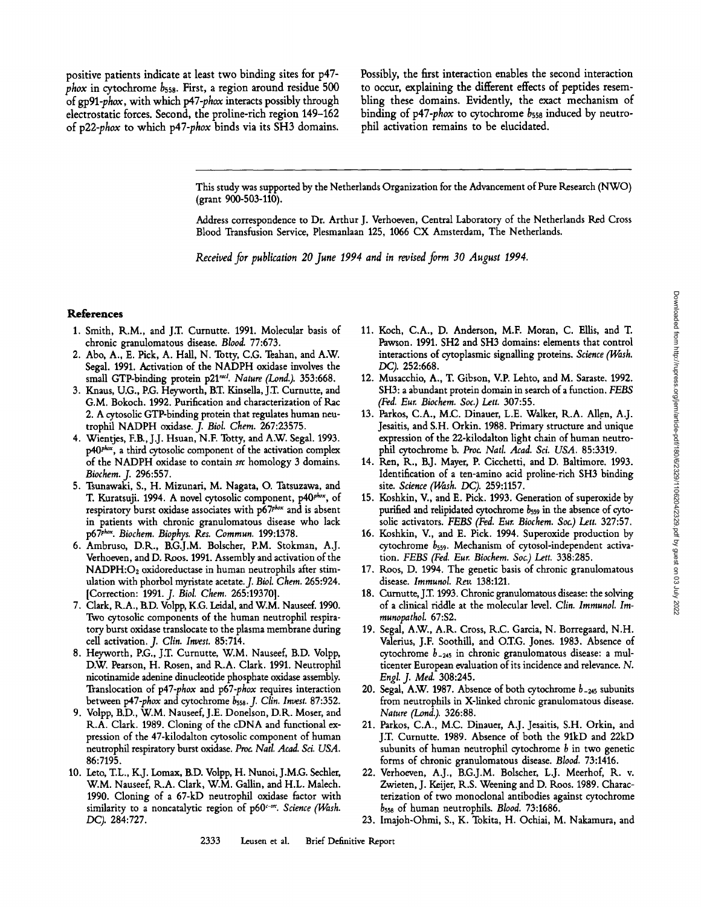positive patients indicate at least two binding sites for p47 *phox* in cytochrome bsss. First, a region around residue 500 of *gp91-phox,* with which *p47-phox* interacts possibly through electrostatic forces. Second, the proline-rich region 149-162 of *p22-phox* to which *p47-phox* binds via its SH3 domains.

Possibly, the first interaction enables the second interaction to occur, explaining the different effects of peptides resembling these domains. Evidently, the exact mechanism of binding of *p47-phox* to cytochrome  $b_{558}$  induced by neutrophil activation remains to be elucidated.

This study was supported by the Netherlands Organization for the Advancement of Pure Research (NWO) (grant 900-503-110).

Address correspondence to Dr. Arthur J. Verhoeven, Central Laboratory of the Netherlands Red Cross Blood Transfusion Service, Plesmanlaan 125, 1066 CX Amsterdam, The Netherlands.

*Received for publication 20 June 1994 and in revised form 30 August 1994.* 

#### **References**

- 1. Smith, R.M., and J.T. Curnutte. 1991. Molecular basis of chronic granulomatous disease. *Blood.* 77:673.
- 2. Abo, A., E. Pick, A. Hall, N. Totty, C.G. Teahan, and A.W. Segal. 1991. Activation of the NADPH oxidase involves the small GTP-binding protein p21<sup>racl</sup>. *Nature (Lond.)*. 353:668.
- 3. Knaus, U.G., P.G. Heyworth, B.T. Kinsella, J.T. Curnutte, and G.M. Bokoch. 1992. Purification and characterization of Rac 2. A cytosolic GTP-binding protein that regulates human neutrophil NADPH oxidase. *J. Biol. Chem.* 267:23575.
- 4. Wientjes, F.B., J.J. Hsuan, N.F. Totty, and A.W. Segal. 1993.  $p40$ <sup>*phox*</sup>, a third cytosolic component of the activation complex of the NADPH oxidase to contain src homology 3 domains. *Biochem. J.* 296:557.
- 5. Tsunawaki, S., H. Mizunari, M. Nagata, O. Tatsuzawa, and T. Kuratsuji. 1994. A novel cytosolic component, p40<sup>phox</sup>, of respiratory burst oxidase associates with  $p67<sup>phox</sup>$  and is absent in patients with chronic granulomatous disease who lack p67p h~ *Biochem. Biophys. Res. Commun.* 199:1378.
- 6. Ambruso, D.R., RG.J.M. Bolscher, P.M. Stokman, A.J. Verhoeven, and D. R\_oos. 1991. Assembly and activation of the NADPH:O2 oxidoreductase in human neutrophils after stimulation with phorbol myristate acetate.J. *Biol. Chem.* 265:924. [Correction: 1991. *J. Biol. Chem.* 265:19370].
- 7. Clark, R.A., RD. Volpp, K.G. Leidal, and W.M. Nauseef. 1990. Two cytosolic components of the human neutrophil respiratory burst oxidase translocate to the plasma membrane during cell activation. *J. Clin. Invest.* 85:714.
- 8. Heyworth, P.G., J.T. Curnutte, W.M, Nauseef, RD. Volpp, D.W. Pearson, H. Rosen, and R.A. Clark. 1991. Neutrophil nicotinamide adenine dinucleotide phosphate oxidase assembly. Translocation of *p47-phox* and *p67-phox* requires interaction between *p47-phox* and cytochrome bsss.J. *Clin. Invest.* 87:352.
- 9. Volpp, RD., W.M. Nauseef, J.E. Donelson, D.R. Moser, and R.A. Clark. 1989. Cloning of the cDNA and functional expression of the 47-kilodalton cytosolic component of human neutrophil respiratory burst oxidase. *Proc Natl. Acad. Sci. USA.*  86:7195.
- 10. Leto, T.L., K.J. Lomax, RD. Volpp, H. Nunoi, J.M.G. Sechhr, W.M. Nauseef, R.A. Clark, W.M. Gallin, and H.L. Malech. 1990. Cloning of a 67-kD neutrophil oxidase factor with similarity to a noncatalytic region of p60<sup>c-sr</sup>. Science (Wash. DC). 284:727.
- 11. Koch, C,A., D. Anderson, M.E Moran, C. Ellis, and T. Pawson. 1991. SH2 and SH3 domains: elements that control interactions of cytoplasmic signalling proteins. *Science (Wash. DC).* 252:668.
- 12. Musacchio, A., T. Gibson, V.P. Lehto, and M. Saraste. 1992. SH3: a abundant protein domain in search of a function. *FEBS (Fed. Eur. Biochem. Soc.) Lett.* 307:55.
- 13. Parkos, C.A., M.C. Dinauer, L.E. Walker, R.A. Allen, A.J. Jesaitis, and S.H. Orkin. 1988. Primary structure and unique expression of the 22-kilodalton light chain of human neutrophil cytochrome b. *Prot Natl. Acad. Sci. USA.* 85:3319.
- 14. Ken, K., RJ. Mayer, P. Cicchetti, and D. Baltimore. 1993. Identification of a ten-amino acid proline-rich SH3 binding site. *Science (Wash. DC).* 259:1157.
- 15. Koshkin, V., and E. Pick. 1993. Generation of superoxide by purified and relipidated cytochrome  $b_{559}$  in the absence of cytosolic activators. *FEBS (Fed. Fur. Biochem. Sot) Lett.* 327:57.
- 16. Koshkin, V., and E. Pick. 1994. Superoxide production by cytochrome  $b_{559}$ . Mechanism of cytosol-independent activation. *FEBS (Fed. Eur. Biochem. Sot) Lett.* 338:285.
- 17. Roos, D. 1994. The genetic basis of chronic granulomatous disease. *Immunol. Rev.* 138:121.
- 18. Curnutte, J.T. 1993. Chronic granulomatous disease: the solving of a clinical riddle at the molecular level. *Clin. lmmunol. Immunopathol.* 67:\$2.
- 19. Segal, A.W., A.R. Cross, R.C. Garcia, N. Borregaard, N.H. Valerius, J.F. Soothill, and O.T.G. Jones. 1983. Absence of cytochrome b-z4s in chronic granulomatous disease: a multicenter European evaluation of its incidence and relevance. N. *Engl. J. Med.* 308:245.
- 20. Segal, A.W. 1987. Absence of both cytochrome  $b_{-245}$  subunits from neutrophils in X-linked chronic granulomatous disease. *Nature (Land.).* 326:88.
- 21. Parkos, C.A., M.C. Dinauer, A.J. Jesaitis, S.H. Orkin, and J.T. Curnutte. 1989. Absence of both the 91kD and 22kD subunits of human neutrophil cytochrome  $b$  in two genetic forms of chronic granulomatous disease. *Blood.* 73:1416.
- 22. Verhoeven, A.J., B.G.J.M. Bolscher, L.J. Meerhof, R. v. Zwieten, J. Keijer, R.S. Weening and D. Boos. 1989. Characterization of two monoclonal antibodies against cytochrome bsss of human neutrophils. *Blood.* 73:1686.
- 23. Imajoh-Ohmi, S., K. Tokita, H. Ochiai, M. Nakamura, and